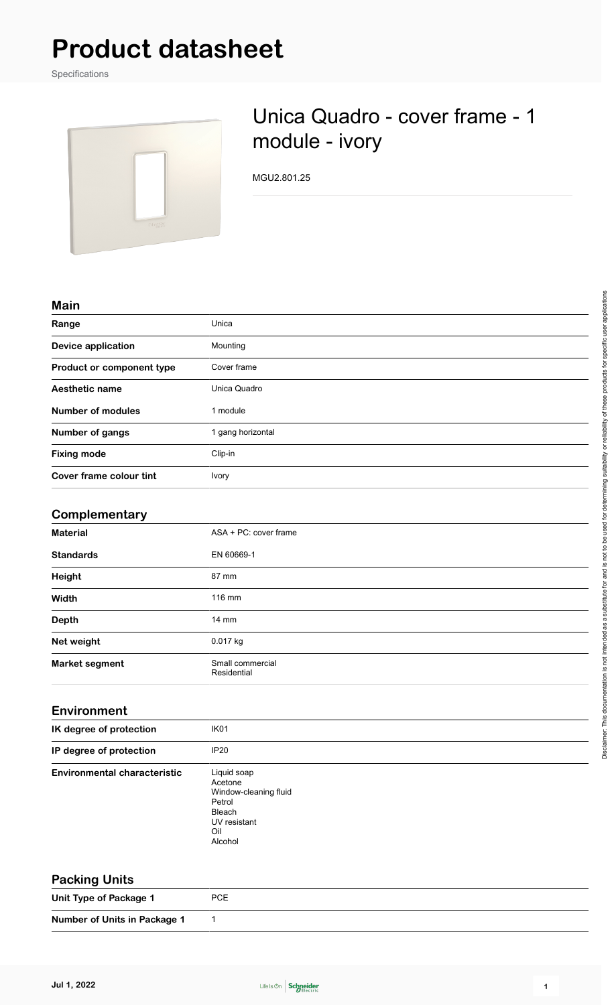# **Product datasheet**

Specifications



## Unica Quadro - cover frame - 1 module - ivory

MGU2.801.25

#### **Main**

| Range                     | Unica             |
|---------------------------|-------------------|
| <b>Device application</b> | Mounting          |
| Product or component type | Cover frame       |
| Aesthetic name            | Unica Quadro      |
| <b>Number of modules</b>  | 1 module          |
| Number of gangs           | 1 gang horizontal |
| <b>Fixing mode</b>        | Clip-in           |
| Cover frame colour tint   | <b>Ivory</b>      |

#### **Complementary**

| <b>Material</b>       | ASA + PC: cover frame           |  |
|-----------------------|---------------------------------|--|
| <b>Standards</b>      | EN 60669-1                      |  |
| Height                | 87 mm                           |  |
| Width                 | 116 mm                          |  |
| Depth                 | $14 \text{ mm}$                 |  |
| Net weight            | 0.017 kg                        |  |
| <b>Market segment</b> | Small commercial<br>Residential |  |

| IK degree of protection             | IK <sub>01</sub>                                                                                      |  |
|-------------------------------------|-------------------------------------------------------------------------------------------------------|--|
| IP degree of protection             | <b>IP20</b>                                                                                           |  |
| <b>Environmental characteristic</b> | Liquid soap<br>Acetone<br>Window-cleaning fluid<br>Petrol<br>Bleach<br>UV resistant<br>Oil<br>Alcohol |  |

| $\ldots$                     |            |  |
|------------------------------|------------|--|
| Unit Type of Package 1       | <b>PCE</b> |  |
| Number of Units in Package 1 |            |  |